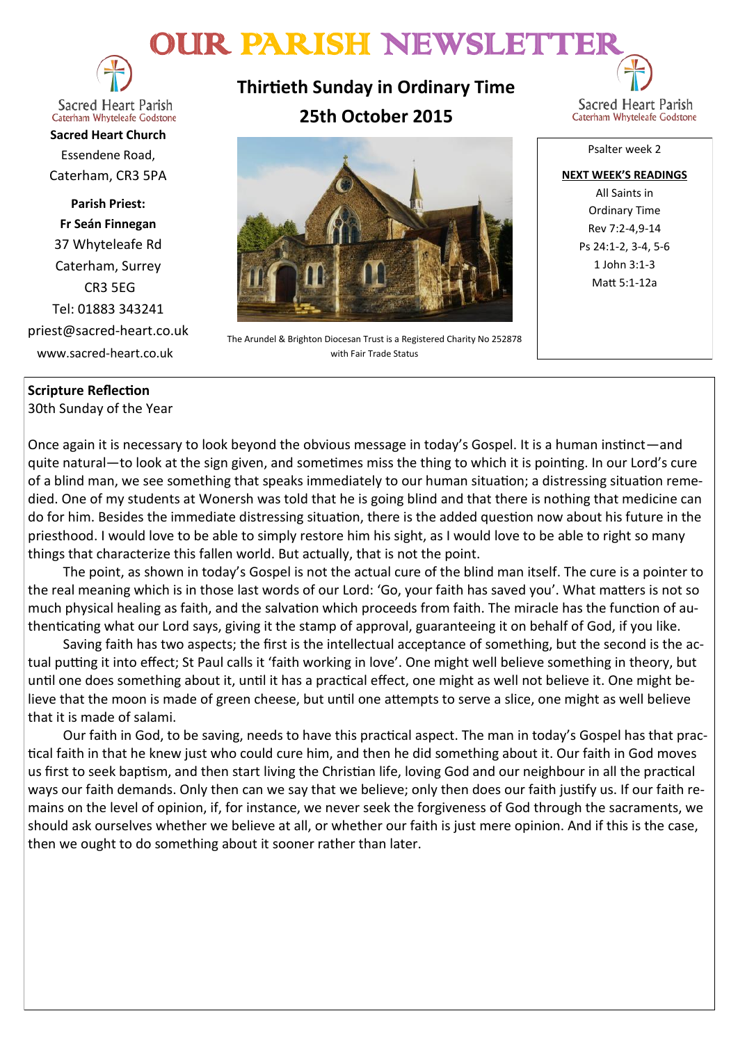# OUR PARISH NEWSLETTER



**Sacred Heart Parish** Caterham Whyteleafe Godstone

**Sacred Heart Church** Essendene Road, Caterham, CR3 5PA

**Parish Priest: Fr Seán Finnegan** 37 Whyteleafe Rd Caterham, Surrey CR3 5EG Tel: 01883 343241 priest@sacred-heart.co.uk www.sacred-heart.co.uk

# **Thirtieth Sunday in Ordinary Time 25th October 2015**



The Arundel & Brighton Diocesan Trust is a Registered Charity No 252878 with Fair Trade Status

Sacred Heart Parish Caterham Whyteleafe Godstone

Psalter week 2 **NEXT WEEK'S READINGS** All Saints in Ordinary Time Rev 7:2-4,9-14 Ps 24:1-2, 3-4, 5-6 1 John 3:1-3 Matt 5:1-12a

### **Scripture Reflection**

30th Sunday of the Year

Once again it is necessary to look beyond the obvious message in today's Gospel. It is a human instinct—and quite natural—to look at the sign given, and sometimes miss the thing to which it is pointing. In our Lord's cure of a blind man, we see something that speaks immediately to our human situation; a distressing situation remedied. One of my students at Wonersh was told that he is going blind and that there is nothing that medicine can do for him. Besides the immediate distressing situation, there is the added question now about his future in the priesthood. I would love to be able to simply restore him his sight, as I would love to be able to right so many things that characterize this fallen world. But actually, that is not the point.

The point, as shown in today's Gospel is not the actual cure of the blind man itself. The cure is a pointer to the real meaning which is in those last words of our Lord: 'Go, your faith has saved you'. What matters is not so much physical healing as faith, and the salvation which proceeds from faith. The miracle has the function of authenticating what our Lord says, giving it the stamp of approval, guaranteeing it on behalf of God, if you like.

Saving faith has two aspects; the first is the intellectual acceptance of something, but the second is the actual putting it into effect; St Paul calls it 'faith working in love'. One might well believe something in theory, but until one does something about it, until it has a practical effect, one might as well not believe it. One might believe that the moon is made of green cheese, but until one attempts to serve a slice, one might as well believe that it is made of salami.

Our faith in God, to be saving, needs to have this practical aspect. The man in today's Gospel has that practical faith in that he knew just who could cure him, and then he did something about it. Our faith in God moves us first to seek baptism, and then start living the Christian life, loving God and our neighbour in all the practical ways our faith demands. Only then can we say that we believe; only then does our faith justify us. If our faith remains on the level of opinion, if, for instance, we never seek the forgiveness of God through the sacraments, we should ask ourselves whether we believe at all, or whether our faith is just mere opinion. And if this is the case, then we ought to do something about it sooner rather than later.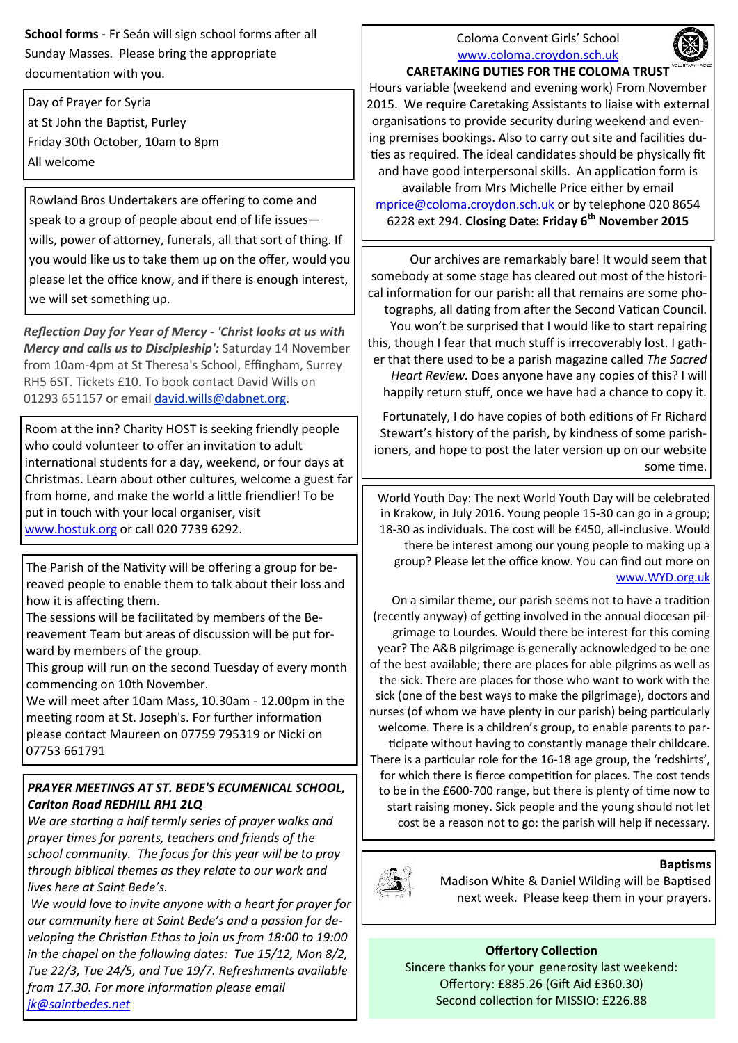**School forms** - Fr Seán will sign school forms after all Sunday Masses. Please bring the appropriate documentation with you.

Day of Prayer for Syria at St John the Baptist, Purley Friday 30th October, 10am to 8pm All welcome

Rowland Bros Undertakers are offering to come and speak to a group of people about end of life issues wills, power of attorney, funerals, all that sort of thing. If you would like us to take them up on the offer, would you please let the office know, and if there is enough interest, we will set something up.

*Reflection Day for Year of Mercy - 'Christ looks at us with Mercy and calls us to Discipleship':* Saturday 14 November from 10am-4pm at St Theresa's School, Effingham, Surrey RH5 6ST. Tickets £10. To book contact David Wills on 01293 651157 or email [david.wills@dabnet.org.](mailto:david.wills@dabnet.org?subject=Jeff%20Cavins%20Day%2014%20November)

Room at the inn? Charity HOST is seeking friendly people who could volunteer to offer an invitation to adult international students for a day, weekend, or four days at Christmas. Learn about other cultures, welcome a guest far from home, and make the world a little friendlier! To be put in touch with your local organiser, visit [www.hostuk.org](http://www.hostuk.org) or call 020 7739 6292.

The Parish of the Nativity will be offering a group for bereaved people to enable them to talk about their loss and how it is affecting them.

The sessions will be facilitated by members of the Bereavement Team but areas of discussion will be put forward by members of the group.

This group will run on the second Tuesday of every month commencing on 10th November.

We will meet after 10am Mass, 10.30am - 12.00pm in the meeting room at St. Joseph's. For further information please contact Maureen on 07759 795319 or Nicki on 07753 661791

## *PRAYER MEETINGS AT ST. BEDE'S ECUMENICAL SCHOOL, Carlton Road REDHILL RH1 2LQ*

*We are starting a half termly series of prayer walks and prayer times for parents, teachers and friends of the school community. The focus for this year will be to pray through biblical themes as they relate to our work and lives here at Saint Bede's.*

*We would love to invite anyone with a heart for prayer for our community here at Saint Bede's and a passion for developing the Christian Ethos to join us from 18:00 to 19:00 in the chapel on the following dates: Tue 15/12, Mon 8/2, Tue 22/3, Tue 24/5, and Tue 19/7. Refreshments available from 17.30. For more information please email [jk@saintbedes.net](mailto:jk@saintbedes.net)*

#### Coloma Convent Girls' School [www.coloma.croydon.sch.uk](http://www.coloma.croydon.sch.uk/)



#### **CARETAKING DUTIES FOR THE COLOMA TRUST**

Hours variable (weekend and evening work) From November 2015. We require Caretaking Assistants to liaise with external organisations to provide security during weekend and evening premises bookings. Also to carry out site and facilities duties as required. The ideal candidates should be physically fit and have good interpersonal skills. An application form is available from Mrs Michelle Price either by email

[mprice@coloma.croydon.sch.uk](mailto:mprice@coloma.croydon.sch.uk) or by telephone 020 8654 6228 ext 294. **Closing Date: Friday 6th November 2015** 

Our archives are remarkably bare! It would seem that somebody at some stage has cleared out most of the historical information for our parish: all that remains are some photographs, all dating from after the Second Vatican Council. You won't be surprised that I would like to start repairing this, though I fear that much stuff is irrecoverably lost. I gather that there used to be a parish magazine called *The Sacred Heart Review.* Does anyone have any copies of this? I will happily return stuff, once we have had a chance to copy it.

Fortunately, I do have copies of both editions of Fr Richard Stewart's history of the parish, by kindness of some parishioners, and hope to post the later version up on our website some time.

World Youth Day: The next World Youth Day will be celebrated in Krakow, in July 2016. Young people 15-30 can go in a group; 18-30 as individuals. The cost will be £450, all-inclusive. Would there be interest among our young people to making up a group? Please let the office know. You can find out more on [www.WYD.org.uk](http://www.WYD.org.uk)

On a similar theme, our parish seems not to have a tradition (recently anyway) of getting involved in the annual diocesan pilgrimage to Lourdes. Would there be interest for this coming year? The A&B pilgrimage is generally acknowledged to be one of the best available; there are places for able pilgrims as well as the sick. There are places for those who want to work with the sick (one of the best ways to make the pilgrimage), doctors and nurses (of whom we have plenty in our parish) being particularly welcome. There is a children's group, to enable parents to participate without having to constantly manage their childcare. There is a particular role for the 16-18 age group, the 'redshirts', for which there is fierce competition for places. The cost tends to be in the £600-700 range, but there is plenty of time now to start raising money. Sick people and the young should not let cost be a reason not to go: the parish will help if necessary.



#### **Baptisms**

Madison White & Daniel Wilding will be Baptised next week. Please keep them in your prayers.

**Offertory Collection** Sincere thanks for your generosity last weekend: Offertory: £885.26 (Gift Aid £360.30) Second collection for MISSIO: £226.88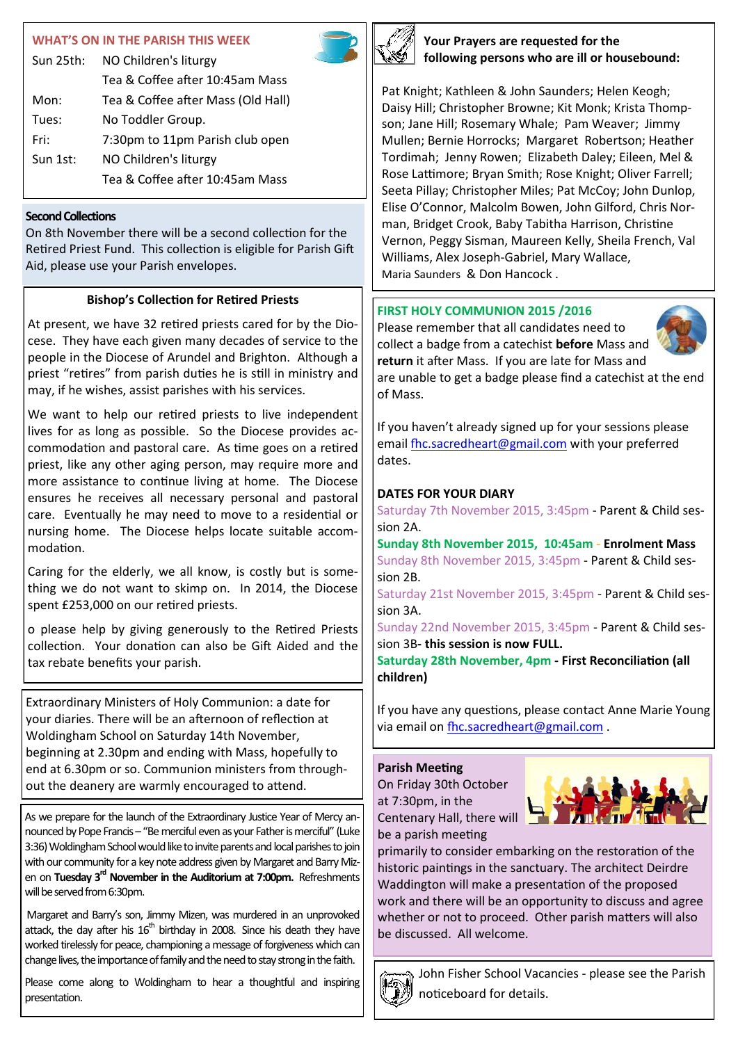#### **WHAT'S ON IN THE PARI**

|           | WHAT'S ON IN THE PARISH THIS WEEK  |  |
|-----------|------------------------------------|--|
| Sun 25th: | NO Children's liturgy              |  |
|           | Tea & Coffee after 10:45am Mass    |  |
| Mon:      | Tea & Coffee after Mass (Old Hall) |  |

| Mon:     | Tea & Coffee after Mass (Old Hall) |  |  |
|----------|------------------------------------|--|--|
| Tues:    | No Toddler Group.                  |  |  |
| Fri:     | 7:30pm to 11pm Parish club open    |  |  |
| Sun 1st: | NO Children's liturgy              |  |  |
|          | Tea & Coffee after 10:45am Mass    |  |  |

#### **Second Collections**

On 8th November there will be a second collection for the Retired Priest Fund. This collection is eligible for Parish Gift Aid, please use your Parish envelopes.

#### **Bishop's Collection for Retired Priests**

At present, we have 32 retired priests cared for by the Diocese. They have each given many decades of service to the people in the Diocese of Arundel and Brighton. Although a priest "retires" from parish duties he is still in ministry and may, if he wishes, assist parishes with his services.

We want to help our retired priests to live independent lives for as long as possible. So the Diocese provides accommodation and pastoral care. As time goes on a retired priest, like any other aging person, may require more and more assistance to continue living at home. The Diocese ensures he receives all necessary personal and pastoral care. Eventually he may need to move to a residential or nursing home. The Diocese helps locate suitable accommodation.

Caring for the elderly, we all know, is costly but is something we do not want to skimp on. In 2014, the Diocese spent £253,000 on our retired priests.

o please help by giving generously to the Retired Priests collection. Your donation can also be Gift Aided and the tax rebate benefits your parish.

Extraordinary Ministers of Holy Communion: a date for your diaries. There will be an afternoon of reflection at Woldingham School on Saturday 14th November, beginning at 2.30pm and ending with Mass, hopefully to end at 6.30pm or so. Communion ministers from throughout the deanery are warmly encouraged to attend.

As we prepare for the launch of the Extraordinary Justice Year of Mercy announced by Pope Francis – "Be merciful even as your Father is merciful" (Luke 3:36) Woldingham School would like to invite parents and local parishes to join with our community for a key note address given by Margaret and Barry Mizen on **Tuesday 3rd November in the Auditorium at 7:00pm.** Refreshments will be served from 6:30pm.

Margaret and Barry's son, Jimmy Mizen, was murdered in an unprovoked attack, the day after his  $16<sup>th</sup>$  birthday in 2008. Since his death they have worked tirelessly for peace, championing a message of forgiveness which can change lives, the importance of family and the need to stay strong in the faith.

Please come along to Woldingham to hear a thoughtful and inspiring presentation.



**Your Prayers are requested for the following persons who are ill or housebound:**

Pat Knight; Kathleen & John Saunders; Helen Keogh; Daisy Hill; Christopher Browne; Kit Monk; Krista Thompson; Jane Hill; Rosemary Whale; Pam Weaver; Jimmy Mullen; Bernie Horrocks; Margaret Robertson; Heather Tordimah; Jenny Rowen; Elizabeth Daley; Eileen, Mel & Rose Lattimore; Bryan Smith; Rose Knight; Oliver Farrell; Seeta Pillay; Christopher Miles; Pat McCoy; John Dunlop, Elise O'Connor, Malcolm Bowen, John Gilford, Chris Norman, Bridget Crook, Baby Tabitha Harrison, Christine Vernon, Peggy Sisman, Maureen Kelly, Sheila French, Val Williams, Alex Joseph-Gabriel, Mary Wallace, Maria Saunders & Don Hancock .

#### **FIRST HOLY COMMUNION 2015 /2016**

Please remember that all candidates need to collect a badge from a catechist **before** Mass and **return** it after Mass. If you are late for Mass and are unable to get a badge please find a catechist at the end of Mass.



If you haven't already signed up for your sessions please email [fhc.sacredheart@gmail.com](mailto:fhc.sacredheart@gmail.com) with your preferred dates.

#### **DATES FOR YOUR DIARY**

Saturday 7th November 2015, 3:45pm - Parent & Child session 2A.

**Sunday 8th November 2015, 10:45am - Enrolment Mass** Sunday 8th November 2015, 3:45pm - Parent & Child session 2B.

Saturday 21st November 2015, 3:45pm - Parent & Child session 3A.

Sunday 22nd November 2015, 3:45pm - Parent & Child session 3B**- this session is now FULL.**

**Saturday 28th November, 4pm - First Reconciliation (all children)**

If you have any questions, please contact Anne Marie Young via email on [fhc.sacredheart@gmail.com](mailto:fhc.sacredheart@gmail.com) .

#### **Parish Meeting**

On Friday 30th October at 7:30pm, in the Centenary Hall, there will be a parish meeting



primarily to consider embarking on the restoration of the historic paintings in the sanctuary. The architect Deirdre Waddington will make a presentation of the proposed work and there will be an opportunity to discuss and agree whether or not to proceed. Other parish matters will also be discussed. All welcome.



John Fisher School Vacancies - please see the Parish noticeboard for details.